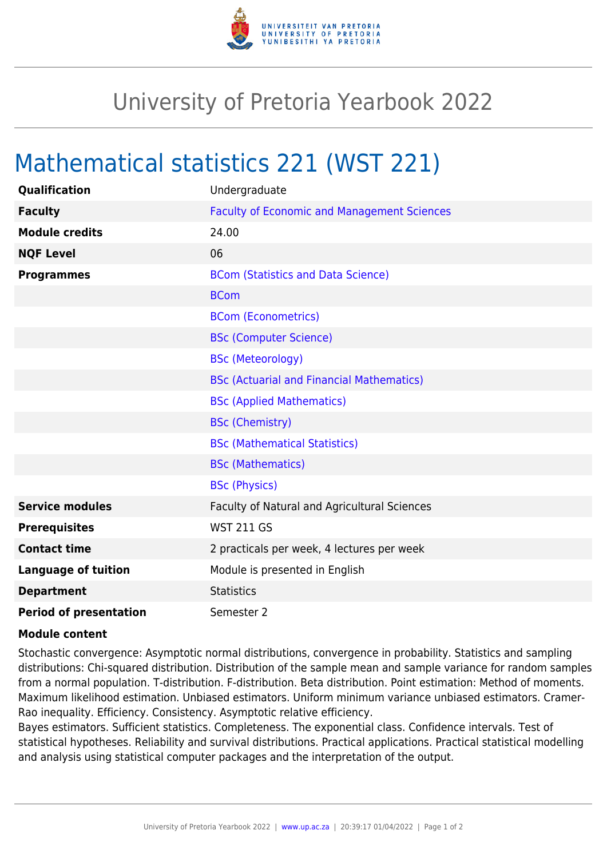

## University of Pretoria Yearbook 2022

## Mathematical statistics 221 (WST 221)

| <b>Qualification</b>          | Undergraduate                                      |
|-------------------------------|----------------------------------------------------|
| <b>Faculty</b>                | <b>Faculty of Economic and Management Sciences</b> |
| <b>Module credits</b>         | 24.00                                              |
| <b>NQF Level</b>              | 06                                                 |
| <b>Programmes</b>             | <b>BCom (Statistics and Data Science)</b>          |
|                               | <b>BCom</b>                                        |
|                               | <b>BCom (Econometrics)</b>                         |
|                               | <b>BSc (Computer Science)</b>                      |
|                               | <b>BSc (Meteorology)</b>                           |
|                               | <b>BSc (Actuarial and Financial Mathematics)</b>   |
|                               | <b>BSc (Applied Mathematics)</b>                   |
|                               | <b>BSc (Chemistry)</b>                             |
|                               | <b>BSc (Mathematical Statistics)</b>               |
|                               | <b>BSc (Mathematics)</b>                           |
|                               | <b>BSc (Physics)</b>                               |
| <b>Service modules</b>        | Faculty of Natural and Agricultural Sciences       |
| <b>Prerequisites</b>          | <b>WST 211 GS</b>                                  |
| <b>Contact time</b>           | 2 practicals per week, 4 lectures per week         |
| <b>Language of tuition</b>    | Module is presented in English                     |
| <b>Department</b>             | <b>Statistics</b>                                  |
| <b>Period of presentation</b> | Semester 2                                         |

## **Module content**

Stochastic convergence: Asymptotic normal distributions, convergence in probability. Statistics and sampling distributions: Chi-squared distribution. Distribution of the sample mean and sample variance for random samples from a normal population. T-distribution. F-distribution. Beta distribution. Point estimation: Method of moments. Maximum likelihood estimation. Unbiased estimators. Uniform minimum variance unbiased estimators. Cramer-Rao inequality. Efficiency. Consistency. Asymptotic relative efficiency.

Bayes estimators. Sufficient statistics. Completeness. The exponential class. Confidence intervals. Test of statistical hypotheses. Reliability and survival distributions. Practical applications. Practical statistical modelling and analysis using statistical computer packages and the interpretation of the output.